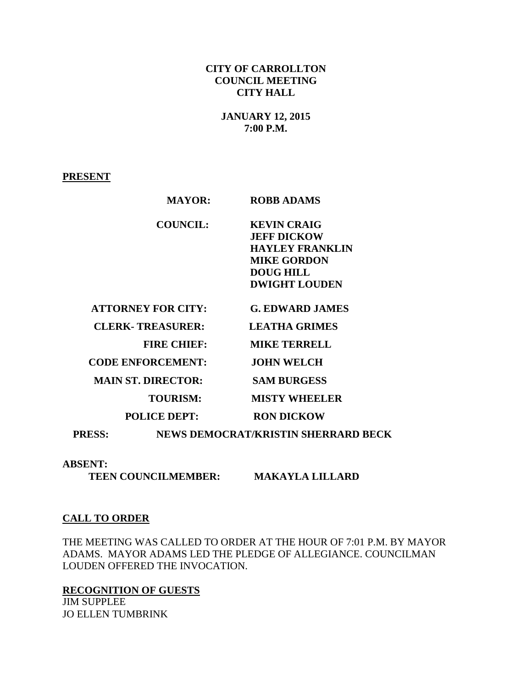### **CITY OF CARROLLTON COUNCIL MEETING CITY HALL**

### **JANUARY 12, 2015 7:00 P.M.**

#### **PRESENT**

| <b>MAYOR:</b>             | <b>ROBB ADAMS</b>                   |  |
|---------------------------|-------------------------------------|--|
| <b>COUNCIL:</b>           | <b>KEVIN CRAIG</b>                  |  |
|                           | <b>JEFF DICKOW</b>                  |  |
|                           | <b>HAYLEY FRANKLIN</b>              |  |
|                           | <b>MIKE GORDON</b>                  |  |
|                           | <b>DOUG HILL</b>                    |  |
|                           | <b>DWIGHT LOUDEN</b>                |  |
| <b>ATTORNEY FOR CITY:</b> | <b>G. EDWARD JAMES</b>              |  |
| <b>CLERK-TREASURER:</b>   | <b>LEATHA GRIMES</b>                |  |
| <b>FIRE CHIEF:</b>        | <b>MIKE TERRELL</b>                 |  |
| <b>CODE ENFORCEMENT:</b>  | <b>JOHN WELCH</b>                   |  |
| <b>MAIN ST. DIRECTOR:</b> | <b>SAM BURGESS</b>                  |  |
| <b>TOURISM:</b>           | <b>MISTY WHEELER</b>                |  |
| <b>POLICE DEPT:</b>       | <b>RON DICKOW</b>                   |  |
| <b>PRESS:</b>             | NEWS DEMOCRAT/KRISTIN SHERRARD BECK |  |

#### **ABSENT:**

 **TEEN COUNCILMEMBER: MAKAYLA LILLARD** 

#### **CALL TO ORDER**

THE MEETING WAS CALLED TO ORDER AT THE HOUR OF 7:01 P.M. BY MAYOR ADAMS. MAYOR ADAMS LED THE PLEDGE OF ALLEGIANCE. COUNCILMAN LOUDEN OFFERED THE INVOCATION.

**RECOGNITION OF GUESTS** JIM SUPPLEE JO ELLEN TUMBRINK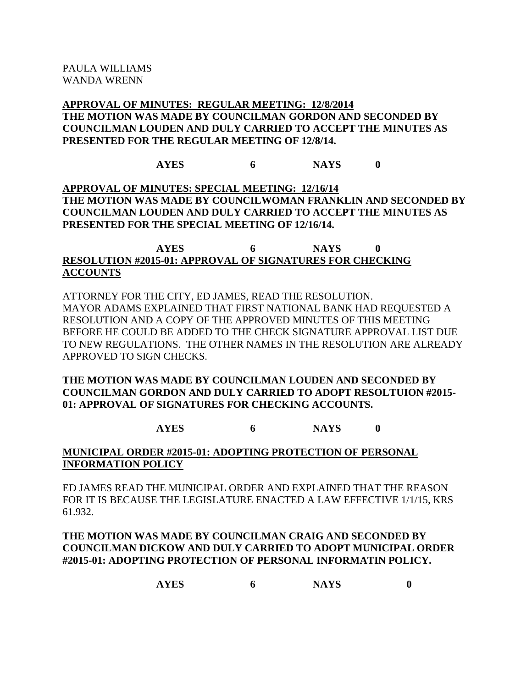## **APPROVAL OF MINUTES: REGULAR MEETING: 12/8/2014 THE MOTION WAS MADE BY COUNCILMAN GORDON AND SECONDED BY COUNCILMAN LOUDEN AND DULY CARRIED TO ACCEPT THE MINUTES AS PRESENTED FOR THE REGULAR MEETING OF 12/8/14.**

**AYES 6 NAYS 0**

**APPROVAL OF MINUTES: SPECIAL MEETING: 12/16/14 THE MOTION WAS MADE BY COUNCILWOMAN FRANKLIN AND SECONDED BY COUNCILMAN LOUDEN AND DULY CARRIED TO ACCEPT THE MINUTES AS PRESENTED FOR THE SPECIAL MEETING OF 12/16/14.**

## **AYES 6 NAYS 0 RESOLUTION #2015-01: APPROVAL OF SIGNATURES FOR CHECKING ACCOUNTS**

ATTORNEY FOR THE CITY, ED JAMES, READ THE RESOLUTION. MAYOR ADAMS EXPLAINED THAT FIRST NATIONAL BANK HAD REQUESTED A RESOLUTION AND A COPY OF THE APPROVED MINUTES OF THIS MEETING BEFORE HE COULD BE ADDED TO THE CHECK SIGNATURE APPROVAL LIST DUE TO NEW REGULATIONS. THE OTHER NAMES IN THE RESOLUTION ARE ALREADY APPROVED TO SIGN CHECKS.

## **THE MOTION WAS MADE BY COUNCILMAN LOUDEN AND SECONDED BY COUNCILMAN GORDON AND DULY CARRIED TO ADOPT RESOLTUION #2015- 01: APPROVAL OF SIGNATURES FOR CHECKING ACCOUNTS.**

## **AYES 6 NAYS 0**

## **MUNICIPAL ORDER #2015-01: ADOPTING PROTECTION OF PERSONAL INFORMATION POLICY**

ED JAMES READ THE MUNICIPAL ORDER AND EXPLAINED THAT THE REASON FOR IT IS BECAUSE THE LEGISLATURE ENACTED A LAW EFFECTIVE 1/1/15, KRS 61.932.

## **THE MOTION WAS MADE BY COUNCILMAN CRAIG AND SECONDED BY COUNCILMAN DICKOW AND DULY CARRIED TO ADOPT MUNICIPAL ORDER #2015-01: ADOPTING PROTECTION OF PERSONAL INFORMATIN POLICY.**

|  | <b>AYES</b> |  | <b>NAYS</b> |  |
|--|-------------|--|-------------|--|
|--|-------------|--|-------------|--|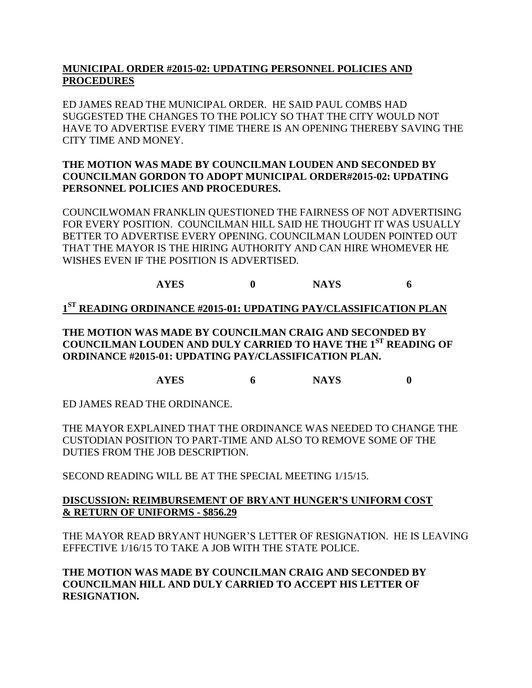## **MUNICIPAL ORDER #2015-02: UPDATING PERSONNEL POLICIES AND PROCEDURES**

ED JAMES READ THE MUNICIPAL ORDER. HE SAID PAUL COMBS HAD SUGGESTED THE CHANGES TO THE POLICY SO THAT THE CITY WOULD NOT HAVE TO ADVERTISE EVERY TIME THERE IS AN OPENING THEREBY SAVING THE CITY TIME AND MONEY.

## **THE MOTION WAS MADE BY COUNCILMAN LOUDEN AND SECONDED BY COUNCILMAN GORDON TO ADOPT MUNICIPAL ORDER#2015-02: UPDATING PERSONNEL POLICIES AND PROCEDURES.**

COUNCILWOMAN FRANKLIN QUESTIONED THE FAIRNESS OF NOT ADVERTISING FOR EVERY POSITION. COUNCILMAN HILL SAID HE THOUGHT IT WAS USUALLY BETTER TO ADVERTISE EVERY OPENING. COUNCILMAN LOUDEN POINTED OUT THAT THE MAYOR IS THE HIRING AUTHORITY AND CAN HIRE WHOMEVER HE WISHES EVEN IF THE POSITION IS ADVERTISED.

# **AYES 0 NAYS 6**

## **1 ST READING ORDINANCE #2015-01: UPDATING PAY/CLASSIFICATION PLAN**

**THE MOTION WAS MADE BY COUNCILMAN CRAIG AND SECONDED BY COUNCILMAN LOUDEN AND DULY CARRIED TO HAVE THE 1ST READING OF ORDINANCE #2015-01: UPDATING PAY/CLASSIFICATION PLAN.**

**AYES 6 NAYS 0**

ED JAMES READ THE ORDINANCE.

THE MAYOR EXPLAINED THAT THE ORDINANCE WAS NEEDED TO CHANGE THE CUSTODIAN POSITION TO PART-TIME AND ALSO TO REMOVE SOME OF THE DUTIES FROM THE JOB DESCRIPTION.

SECOND READING WILL BE AT THE SPECIAL MEETING 1/15/15.

## **DISCUSSION: REIMBURSEMENT OF BRYANT HUNGER'S UNIFORM COST & RETURN OF UNIFORMS - \$856.29**

THE MAYOR READ BRYANT HUNGER'S LETTER OF RESIGNATION. HE IS LEAVING EFFECTIVE 1/16/15 TO TAKE A JOB WITH THE STATE POLICE.

**THE MOTION WAS MADE BY COUNCILMAN CRAIG AND SECONDED BY COUNCILMAN HILL AND DULY CARRIED TO ACCEPT HIS LETTER OF RESIGNATION.**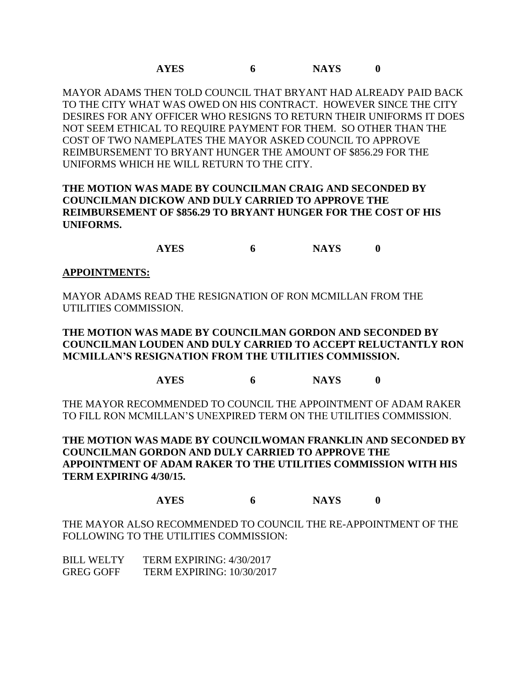MAYOR ADAMS THEN TOLD COUNCIL THAT BRYANT HAD ALREADY PAID BACK TO THE CITY WHAT WAS OWED ON HIS CONTRACT. HOWEVER SINCE THE CITY DESIRES FOR ANY OFFICER WHO RESIGNS TO RETURN THEIR UNIFORMS IT DOES NOT SEEM ETHICAL TO REQUIRE PAYMENT FOR THEM. SO OTHER THAN THE COST OF TWO NAMEPLATES THE MAYOR ASKED COUNCIL TO APPROVE REIMBURSEMENT TO BRYANT HUNGER THE AMOUNT OF \$856.29 FOR THE UNIFORMS WHICH HE WILL RETURN TO THE CITY.

## **THE MOTION WAS MADE BY COUNCILMAN CRAIG AND SECONDED BY COUNCILMAN DICKOW AND DULY CARRIED TO APPROVE THE REIMBURSEMENT OF \$856.29 TO BRYANT HUNGER FOR THE COST OF HIS UNIFORMS.**

**AYES 6 NAYS 0**

### **APPOINTMENTS:**

MAYOR ADAMS READ THE RESIGNATION OF RON MCMILLAN FROM THE UTILITIES COMMISSION.

**THE MOTION WAS MADE BY COUNCILMAN GORDON AND SECONDED BY COUNCILMAN LOUDEN AND DULY CARRIED TO ACCEPT RELUCTANTLY RON MCMILLAN'S RESIGNATION FROM THE UTILITIES COMMISSION.**

### **AYES 6 NAYS 0**

THE MAYOR RECOMMENDED TO COUNCIL THE APPOINTMENT OF ADAM RAKER TO FILL RON MCMILLAN'S UNEXPIRED TERM ON THE UTILITIES COMMISSION.

**THE MOTION WAS MADE BY COUNCILWOMAN FRANKLIN AND SECONDED BY COUNCILMAN GORDON AND DULY CARRIED TO APPROVE THE APPOINTMENT OF ADAM RAKER TO THE UTILITIES COMMISSION WITH HIS TERM EXPIRING 4/30/15.**

### **AYES 6 NAYS 0**

THE MAYOR ALSO RECOMMENDED TO COUNCIL THE RE-APPOINTMENT OF THE FOLLOWING TO THE UTILITIES COMMISSION:

| BILL WELTY       | <b>TERM EXPIRING: 4/30/2017</b> |
|------------------|---------------------------------|
| <b>GREG GOFF</b> | TERM EXPIRING: $10/30/2017$     |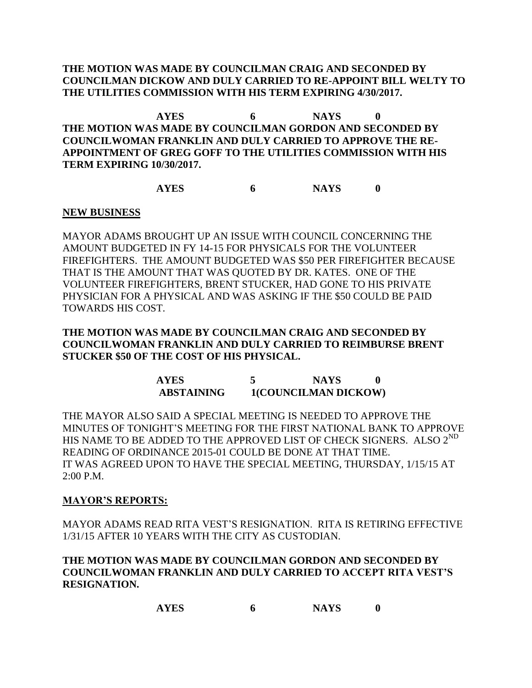### **THE MOTION WAS MADE BY COUNCILMAN CRAIG AND SECONDED BY COUNCILMAN DICKOW AND DULY CARRIED TO RE-APPOINT BILL WELTY TO THE UTILITIES COMMISSION WITH HIS TERM EXPIRING 4/30/2017.**

**AYES 6 NAYS 0 THE MOTION WAS MADE BY COUNCILMAN GORDON AND SECONDED BY COUNCILWOMAN FRANKLIN AND DULY CARRIED TO APPROVE THE RE-APPOINTMENT OF GREG GOFF TO THE UTILITIES COMMISSION WITH HIS TERM EXPIRING 10/30/2017.**

**AYES 6 NAYS 0**

### **NEW BUSINESS**

MAYOR ADAMS BROUGHT UP AN ISSUE WITH COUNCIL CONCERNING THE AMOUNT BUDGETED IN FY 14-15 FOR PHYSICALS FOR THE VOLUNTEER FIREFIGHTERS. THE AMOUNT BUDGETED WAS \$50 PER FIREFIGHTER BECAUSE THAT IS THE AMOUNT THAT WAS QUOTED BY DR. KATES. ONE OF THE VOLUNTEER FIREFIGHTERS, BRENT STUCKER, HAD GONE TO HIS PRIVATE PHYSICIAN FOR A PHYSICAL AND WAS ASKING IF THE \$50 COULD BE PAID TOWARDS HIS COST.

**THE MOTION WAS MADE BY COUNCILMAN CRAIG AND SECONDED BY COUNCILWOMAN FRANKLIN AND DULY CARRIED TO REIMBURSE BRENT STUCKER \$50 OF THE COST OF HIS PHYSICAL.**

> **AYES 5 NAYS 0 ABSTAINING 1(COUNCILMAN DICKOW)**

THE MAYOR ALSO SAID A SPECIAL MEETING IS NEEDED TO APPROVE THE MINUTES OF TONIGHT'S MEETING FOR THE FIRST NATIONAL BANK TO APPROVE HIS NAME TO BE ADDED TO THE APPROVED LIST OF CHECK SIGNERS. ALSO  $2^{ND}$ READING OF ORDINANCE 2015-01 COULD BE DONE AT THAT TIME. IT WAS AGREED UPON TO HAVE THE SPECIAL MEETING, THURSDAY, 1/15/15 AT 2:00 P.M.

### **MAYOR'S REPORTS:**

MAYOR ADAMS READ RITA VEST'S RESIGNATION. RITA IS RETIRING EFFECTIVE 1/31/15 AFTER 10 YEARS WITH THE CITY AS CUSTODIAN.

## **THE MOTION WAS MADE BY COUNCILMAN GORDON AND SECONDED BY COUNCILWOMAN FRANKLIN AND DULY CARRIED TO ACCEPT RITA VEST'S RESIGNATION.**

```
AYES 6 NAYS 0
```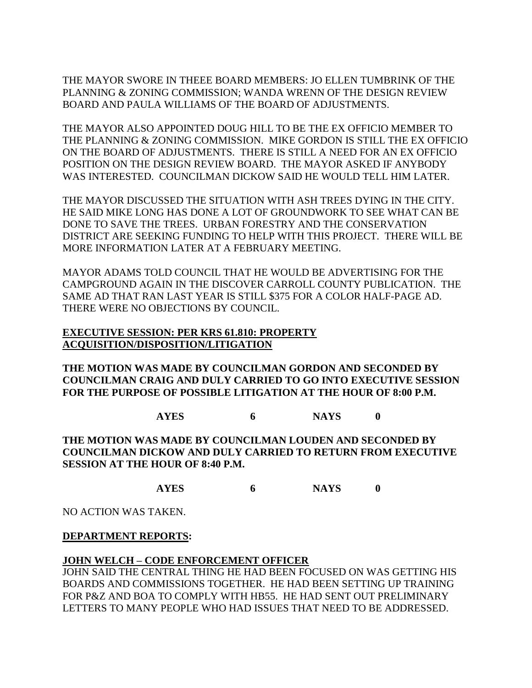THE MAYOR SWORE IN THEEE BOARD MEMBERS: JO ELLEN TUMBRINK OF THE PLANNING & ZONING COMMISSION; WANDA WRENN OF THE DESIGN REVIEW BOARD AND PAULA WILLIAMS OF THE BOARD OF ADJUSTMENTS.

THE MAYOR ALSO APPOINTED DOUG HILL TO BE THE EX OFFICIO MEMBER TO THE PLANNING & ZONING COMMISSION. MIKE GORDON IS STILL THE EX OFFICIO ON THE BOARD OF ADJUSTMENTS. THERE IS STILL A NEED FOR AN EX OFFICIO POSITION ON THE DESIGN REVIEW BOARD. THE MAYOR ASKED IF ANYBODY WAS INTERESTED. COUNCILMAN DICKOW SAID HE WOULD TELL HIM LATER.

THE MAYOR DISCUSSED THE SITUATION WITH ASH TREES DYING IN THE CITY. HE SAID MIKE LONG HAS DONE A LOT OF GROUNDWORK TO SEE WHAT CAN BE DONE TO SAVE THE TREES. URBAN FORESTRY AND THE CONSERVATION DISTRICT ARE SEEKING FUNDING TO HELP WITH THIS PROJECT. THERE WILL BE MORE INFORMATION LATER AT A FEBRUARY MEETING.

MAYOR ADAMS TOLD COUNCIL THAT HE WOULD BE ADVERTISING FOR THE CAMPGROUND AGAIN IN THE DISCOVER CARROLL COUNTY PUBLICATION. THE SAME AD THAT RAN LAST YEAR IS STILL \$375 FOR A COLOR HALF-PAGE AD. THERE WERE NO OBJECTIONS BY COUNCIL.

### **EXECUTIVE SESSION: PER KRS 61.810: PROPERTY ACQUISITION/DISPOSITION/LITIGATION**

**THE MOTION WAS MADE BY COUNCILMAN GORDON AND SECONDED BY COUNCILMAN CRAIG AND DULY CARRIED TO GO INTO EXECUTIVE SESSION FOR THE PURPOSE OF POSSIBLE LITIGATION AT THE HOUR OF 8:00 P.M.**

**AYES 6 NAYS 0**

**THE MOTION WAS MADE BY COUNCILMAN LOUDEN AND SECONDED BY COUNCILMAN DICKOW AND DULY CARRIED TO RETURN FROM EXECUTIVE SESSION AT THE HOUR OF 8:40 P.M.**

**AYES 6 NAYS 0**

NO ACTION WAS TAKEN.

**DEPARTMENT REPORTS:** 

## **JOHN WELCH – CODE ENFORCEMENT OFFICER**

JOHN SAID THE CENTRAL THING HE HAD BEEN FOCUSED ON WAS GETTING HIS BOARDS AND COMMISSIONS TOGETHER. HE HAD BEEN SETTING UP TRAINING FOR P&Z AND BOA TO COMPLY WITH HB55. HE HAD SENT OUT PRELIMINARY LETTERS TO MANY PEOPLE WHO HAD ISSUES THAT NEED TO BE ADDRESSED.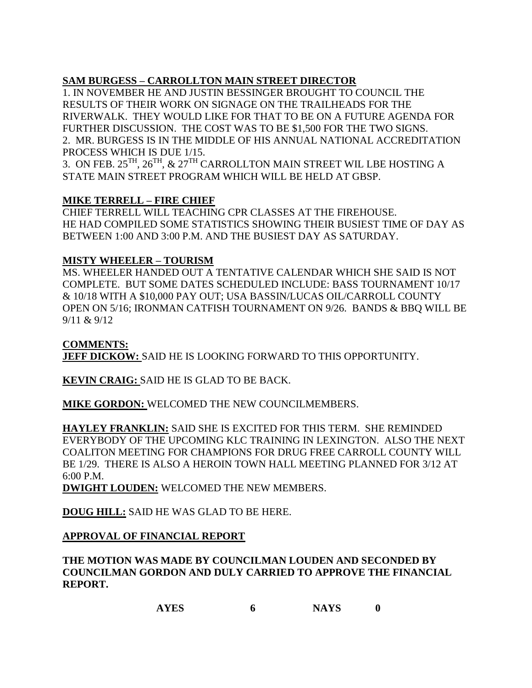# **SAM BURGESS – CARROLLTON MAIN STREET DIRECTOR**

1. IN NOVEMBER HE AND JUSTIN BESSINGER BROUGHT TO COUNCIL THE RESULTS OF THEIR WORK ON SIGNAGE ON THE TRAILHEADS FOR THE RIVERWALK. THEY WOULD LIKE FOR THAT TO BE ON A FUTURE AGENDA FOR FURTHER DISCUSSION. THE COST WAS TO BE \$1,500 FOR THE TWO SIGNS. 2. MR. BURGESS IS IN THE MIDDLE OF HIS ANNUAL NATIONAL ACCREDITATION PROCESS WHICH IS DUE 1/15.

3. ON FEB.  $25^{TH}$ ,  $26^{TH}$ ,  $\& 27^{TH}$  CARROLLTON MAIN STREET WIL LBE HOSTING A STATE MAIN STREET PROGRAM WHICH WILL BE HELD AT GBSP.

# **MIKE TERRELL – FIRE CHIEF**

CHIEF TERRELL WILL TEACHING CPR CLASSES AT THE FIREHOUSE. HE HAD COMPILED SOME STATISTICS SHOWING THEIR BUSIEST TIME OF DAY AS BETWEEN 1:00 AND 3:00 P.M. AND THE BUSIEST DAY AS SATURDAY.

## **MISTY WHEELER – TOURISM**

MS. WHEELER HANDED OUT A TENTATIVE CALENDAR WHICH SHE SAID IS NOT COMPLETE. BUT SOME DATES SCHEDULED INCLUDE: BASS TOURNAMENT 10/17 & 10/18 WITH A \$10,000 PAY OUT; USA BASSIN/LUCAS OIL/CARROLL COUNTY OPEN ON 5/16; IRONMAN CATFISH TOURNAMENT ON 9/26. BANDS & BBQ WILL BE 9/11 & 9/12

## **COMMENTS:**

**JEFF DICKOW:** SAID HE IS LOOKING FORWARD TO THIS OPPORTUNITY.

**KEVIN CRAIG:** SAID HE IS GLAD TO BE BACK.

**MIKE GORDON:** WELCOMED THE NEW COUNCILMEMBERS.

**HAYLEY FRANKLIN:** SAID SHE IS EXCITED FOR THIS TERM. SHE REMINDED EVERYBODY OF THE UPCOMING KLC TRAINING IN LEXINGTON. ALSO THE NEXT COALITON MEETING FOR CHAMPIONS FOR DRUG FREE CARROLL COUNTY WILL BE 1/29. THERE IS ALSO A HEROIN TOWN HALL MEETING PLANNED FOR 3/12 AT 6:00 P.M.

**DWIGHT LOUDEN:** WELCOMED THE NEW MEMBERS.

**DOUG HILL:** SAID HE WAS GLAD TO BE HERE.

# **APPROVAL OF FINANCIAL REPORT**

**THE MOTION WAS MADE BY COUNCILMAN LOUDEN AND SECONDED BY COUNCILMAN GORDON AND DULY CARRIED TO APPROVE THE FINANCIAL REPORT.**

```
AYES 6 NAYS 0
```